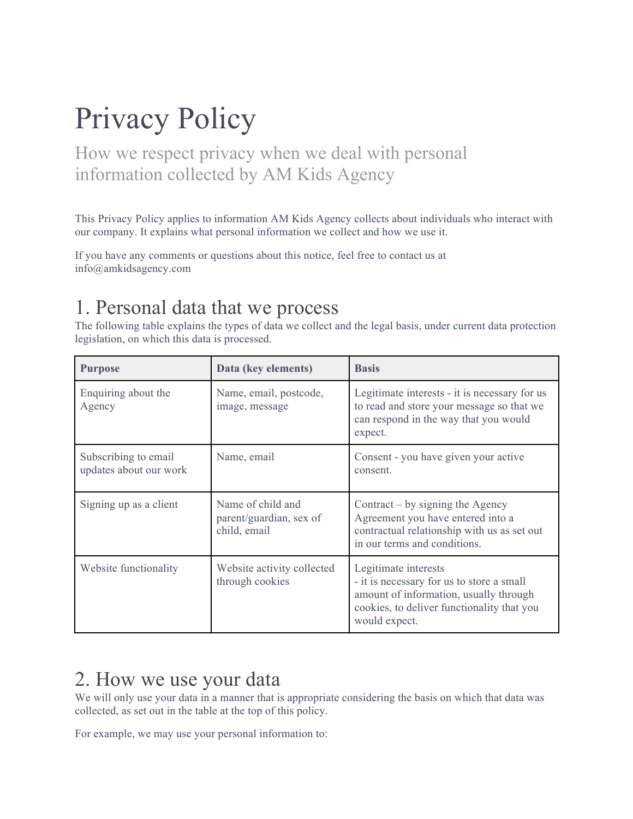# Privacy Policy

How we respect privacy when we deal with personal information collected by AM Kids Agency

This Privacy Policy applies to information AM Kids Agency collects about individuals who interact with our company. It explains what personal information we collect and how we use it.

If you have any comments or questions about this notice, feel free to contact us at info@amkidsagency.com

## 1. Personal data that we process

The following table explains the types of data we collect and the legal basis, under current data protection legislation, on which this data is processed.

| <b>Purpose</b>                                 | Data (key elements)                                          | <b>Basis</b>                                                                                                                                                               |
|------------------------------------------------|--------------------------------------------------------------|----------------------------------------------------------------------------------------------------------------------------------------------------------------------------|
| Enquiring about the<br>Agency                  | Name, email, postcode,<br>image, message                     | Legitimate interests - it is necessary for us<br>to read and store your message so that we<br>can respond in the way that you would<br>expect.                             |
| Subscribing to email<br>updates about our work | Name, email                                                  | Consent - you have given your active<br>consent.                                                                                                                           |
| Signing up as a client                         | Name of child and<br>parent/guardian, sex of<br>child, email | Contract $-$ by signing the Agency<br>Agreement you have entered into a<br>contractual relationship with us as set out<br>in our terms and conditions.                     |
| Website functionality                          | Website activity collected<br>through cookies                | Legitimate interests<br>- it is necessary for us to store a small<br>amount of information, usually through<br>cookies, to deliver functionality that you<br>would expect. |

#### 2. How we use your data

We will only use your data in a manner that is appropriate considering the basis on which that data was collected, as set out in the table at the top of this policy.

For example, we may use your personal information to: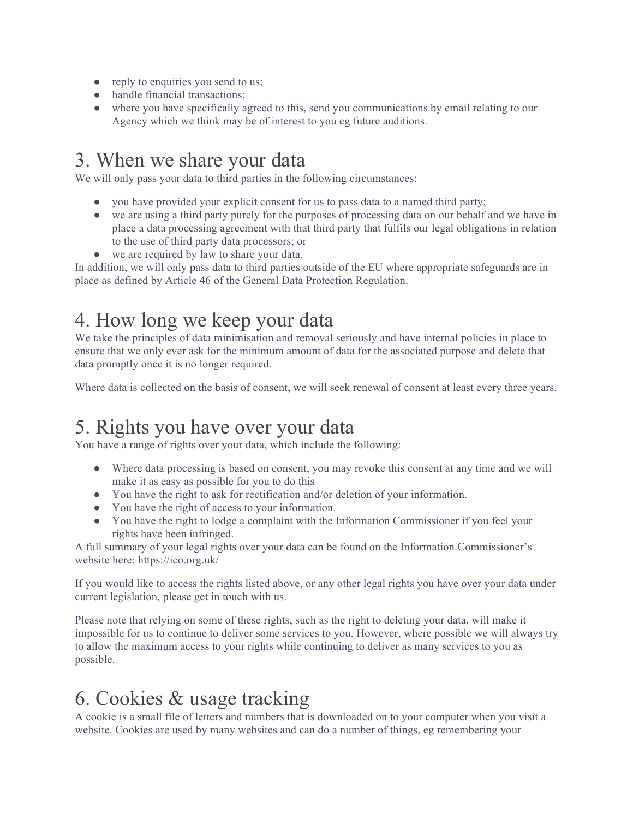- reply to enquiries you send to us;
- handle financial transactions;
- where you have specifically agreed to this, send you communications by email relating to our Agency which we think may be of interest to you eg future auditions.

### 3. When we share your data

We will only pass your data to third parties in the following circumstances:

- you have provided your explicit consent for us to pass data to a named third party;
- we are using a third party purely for the purposes of processing data on our behalf and we have in place a data processing agreement with that third party that fulfils our legal obligations in relation to the use of third party data processors; or
- we are required by law to share your data.

In addition, we will only pass data to third parties outside of the EU where appropriate safeguards are in place as defined by Article 46 of the General Data Protection Regulation.

## 4. How long we keep your data

We take the principles of data minimisation and removal seriously and have internal policies in place to ensure that we only ever ask for the minimum amount of data for the associated purpose and delete that data promptly once it is no longer required.

Where data is collected on the basis of consent, we will seek renewal of consent at least every three years.

## 5. Rights you have over your data

You have a range of rights over your data, which include the following:

- Where data processing is based on consent, you may revoke this consent at any time and we will make it as easy as possible for you to do this
- You have the right to ask for rectification and/or deletion of your information.
- You have the right of access to your information.
- You have the right to lodge a complaint with the Information Commissioner if you feel your rights have been infringed.

A full summary of your legal rights over your data can be found on the Information Commissioner's website here: https://ico.org.uk/

If you would like to access the rights listed above, or any other legal rights you have over your data under current legislation, please get in touch with us.

Please note that relying on some of these rights, such as the right to deleting your data, will make it impossible for us to continue to deliver some services to you. However, where possible we will always try to allow the maximum access to your rights while continuing to deliver as many services to you as possible.

## 6. Cookies & usage tracking

A cookie is a small file of letters and numbers that is downloaded on to your computer when you visit a website. Cookies are used by many websites and can do a number of things, eg remembering your